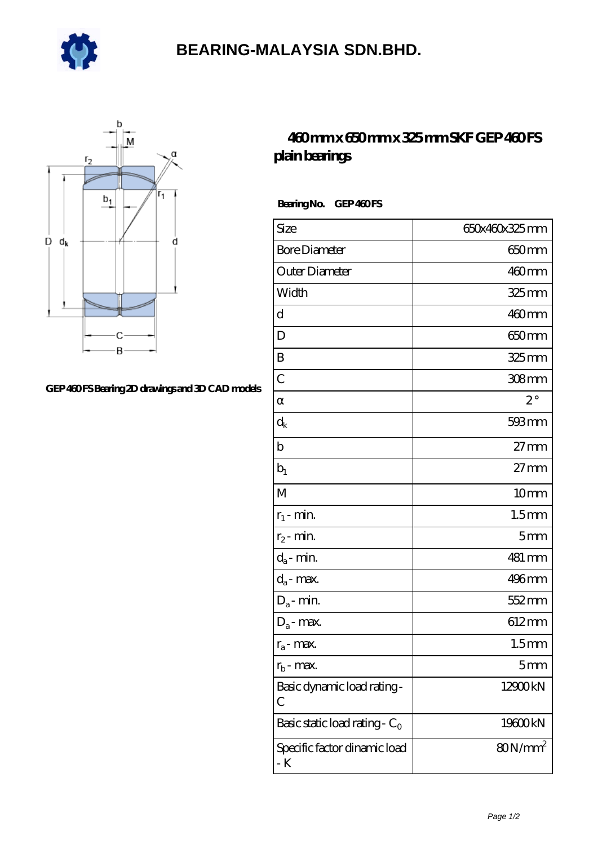

## **[BEARING-MALAYSIA SDN.BHD.](https://m.e-marc.net)**



## **[GEP 460 FS Bearing 2D drawings and 3D CAD models](https://m.e-marc.net/pic-65141536.html)**

## **[460 mm x 650 mm x 325 mm SKF GEP 460 FS](https://m.e-marc.net/skf-gep-460-fs-bearing/) [plain bearings](https://m.e-marc.net/skf-gep-460-fs-bearing/)**

Bearing No. GEP 460FS

| Size                                | 650x460x325mm     |
|-------------------------------------|-------------------|
| <b>Bore Diameter</b>                | 650mm             |
| Outer Diameter                      | $460$ mm          |
| Width                               | $325$ mm          |
| d                                   | $460$ mm          |
| D                                   | 650mm             |
| B                                   | 325 mm            |
| $\overline{C}$                      | $308$ mm          |
|                                     | $2^{\circ}$       |
| $\rm d_k$                           | 593mm             |
| b                                   | $27 \text{mm}$    |
| $b_1$                               | $27 \text{mm}$    |
| M                                   | 10 <sub>mm</sub>  |
| $r_1$ - min.                        | 1.5 <sub>mm</sub> |
| $r_2$ - min.                        | 5 <sub>mm</sub>   |
| $d_{\rm a}$ - $\min$                | 481 mm            |
| $d_a$ - max.                        | $496$ mm          |
| $D_a$ - min.                        | 552 mm            |
| $D_a$ - max.                        | 612mm             |
| $r_a$ - max.                        | 1.5 <sub>mm</sub> |
| $r_{b}$ - max.                      | 5 <sub>mm</sub>   |
| Basic dynamic load rating-<br>С     | 12900kN           |
| Basic static load rating - $C_0$    | 19600kN           |
| Specific factor dinamic load<br>- K | $80N/mm^2$        |